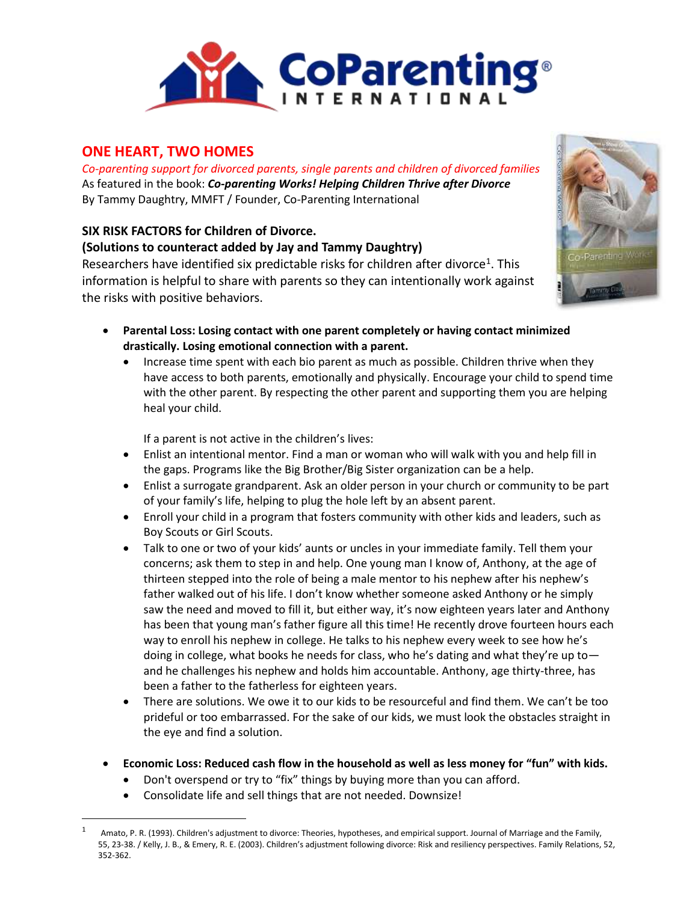

## **ONE HEART, TWO HOMES**

*Co-parenting support for divorced parents, single parents and children of divorced families* As featured in the book: *Co-parenting Works! Helping Children Thrive after Divorce* By Tammy Daughtry, MMFT / Founder, Co-Parenting International

## **SIX RISK FACTORS for Children of Divorce.**

## **(Solutions to counteract added by Jay and Tammy Daughtry)**

Researchers have identified six predictable risks for children after divorce<sup>1</sup>. This information is helpful to share with parents so they can intentionally work against the risks with positive behaviors.



- **Parental Loss: Losing contact with one parent completely or having contact minimized drastically. Losing emotional connection with a parent.** 
	- Increase time spent with each bio parent as much as possible. Children thrive when they have access to both parents, emotionally and physically. Encourage your child to spend time with the other parent. By respecting the other parent and supporting them you are helping heal your child.

If a parent is not active in the children's lives:

- Enlist an intentional mentor. Find a man or woman who will walk with you and help fill in the gaps. Programs like the Big Brother/Big Sister organization can be a help.
- Enlist a surrogate grandparent. Ask an older person in your church or community to be part of your family's life, helping to plug the hole left by an absent parent.
- Enroll your child in a program that fosters community with other kids and leaders, such as Boy Scouts or Girl Scouts.
- Talk to one or two of your kids' aunts or uncles in your immediate family. Tell them your concerns; ask them to step in and help. One young man I know of, Anthony, at the age of thirteen stepped into the role of being a male mentor to his nephew after his nephew's father walked out of his life. I don't know whether someone asked Anthony or he simply saw the need and moved to fill it, but either way, it's now eighteen years later and Anthony has been that young man's father figure all this time! He recently drove fourteen hours each way to enroll his nephew in college. He talks to his nephew every week to see how he's doing in college, what books he needs for class, who he's dating and what they're up to and he challenges his nephew and holds him accountable. Anthony, age thirty-three, has been a father to the fatherless for eighteen years.
- There are solutions. We owe it to our kids to be resourceful and find them. We can't be too prideful or too embarrassed. For the sake of our kids, we must look the obstacles straight in the eye and find a solution.
- **Economic Loss: Reduced cash flow in the household as well as less money for "fun" with kids.**
	- Don't overspend or try to "fix" things by buying more than you can afford.
	- Consolidate life and sell things that are not needed. Downsize!

 $\overline{\phantom{a}}$ 

Amato, P. R. (1993). Children's adjustment to divorce: Theories, hypotheses, and empirical support. Journal of Marriage and the Family, 55, 23-38. / Kelly, J. B., & Emery, R. E. (2003). Children's adjustment following divorce: Risk and resiliency perspectives. Family Relations, 52, 352-362.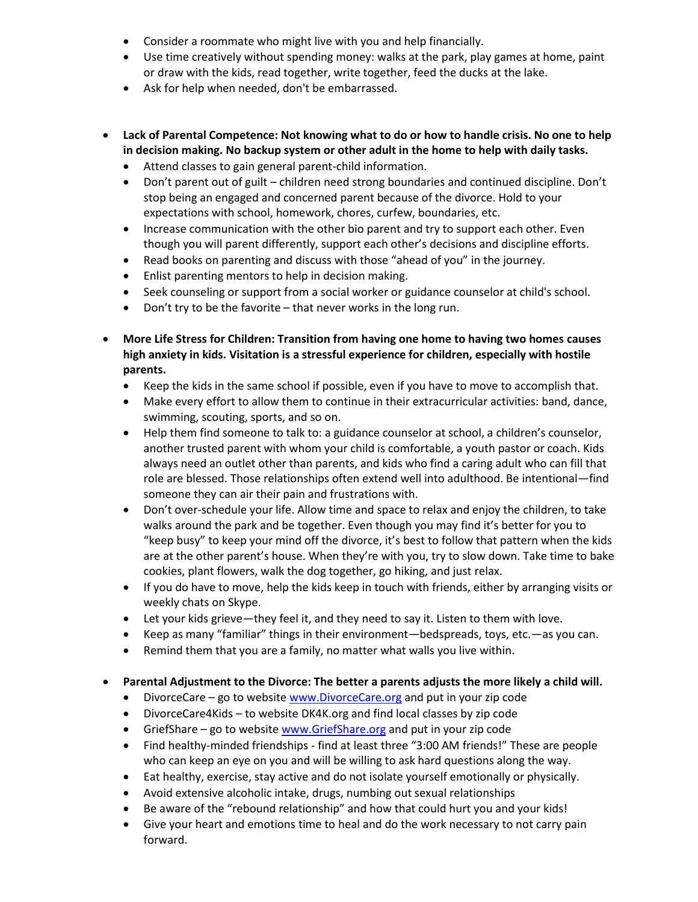- Consider a roommate who might live with you and help financially.
- Use time creatively without spending money: walks at the park, play games at home, paint or draw with the kids, read together, write together, feed the ducks at the lake.
- Ask for help when needed, don't be embarrassed.
- **Lack of Parental Competence: Not knowing what to do or how to handle crisis. No one to help in decision making. No backup system or other adult in the home to help with daily tasks.**
	- Attend classes to gain general parent-child information.
	- Don't parent out of guilt children need strong boundaries and continued discipline. Don't stop being an engaged and concerned parent because of the divorce. Hold to your expectations with school, homework, chores, curfew, boundaries, etc.
	- Increase communication with the other bio parent and try to support each other. Even though you will parent differently, support each other's decisions and discipline efforts.
	- Read books on parenting and discuss with those "ahead of you" in the journey.
	- Enlist parenting mentors to help in decision making.
	- Seek counseling or support from a social worker or guidance counselor at child's school.
	- Don't try to be the favorite that never works in the long run.
- **More Life Stress for Children: Transition from having one home to having two homes causes high anxiety in kids. Visitation is a stressful experience for children, especially with hostile parents.**
	- Keep the kids in the same school if possible, even if you have to move to accomplish that.
	- Make every effort to allow them to continue in their extracurricular activities: band, dance, swimming, scouting, sports, and so on.
	- Help them find someone to talk to: a guidance counselor at school, a children's counselor, another trusted parent with whom your child is comfortable, a youth pastor or coach. Kids always need an outlet other than parents, and kids who find a caring adult who can fill that role are blessed. Those relationships often extend well into adulthood. Be intentional—find someone they can air their pain and frustrations with.
	- Don't over-schedule your life. Allow time and space to relax and enjoy the children, to take walks around the park and be together. Even though you may find it's better for you to "keep busy" to keep your mind off the divorce, it's best to follow that pattern when the kids are at the other parent's house. When they're with you, try to slow down. Take time to bake cookies, plant flowers, walk the dog together, go hiking, and just relax.
	- If you do have to move, help the kids keep in touch with friends, either by arranging visits or weekly chats on Skype.
	- Let your kids grieve—they feel it, and they need to say it. Listen to them with love.
	- Keep as many "familiar" things in their environment—bedspreads, toys, etc.—as you can.
	- Remind them that you are a family, no matter what walls you live within.

## **Parental Adjustment to the Divorce: The better a parents adjusts the more likely a child will.**

- DivorceCare go to website [www.DivorceCare.org](http://www.divorcecare.org/) and put in your zip code
- DivorceCare4Kids to website DK4K.org and find local classes by zip code
- GriefShare go to website [www.GriefShare.org](http://www.griefshare.org/) and put in your zip code
- Find healthy-minded friendships find at least three "3:00 AM friends!" These are people who can keep an eye on you and will be willing to ask hard questions along the way.
- Eat healthy, exercise, stay active and do not isolate yourself emotionally or physically.
- Avoid extensive alcoholic intake, drugs, numbing out sexual relationships
- Be aware of the "rebound relationship" and how that could hurt you and your kids!
- Give your heart and emotions time to heal and do the work necessary to not carry pain forward.